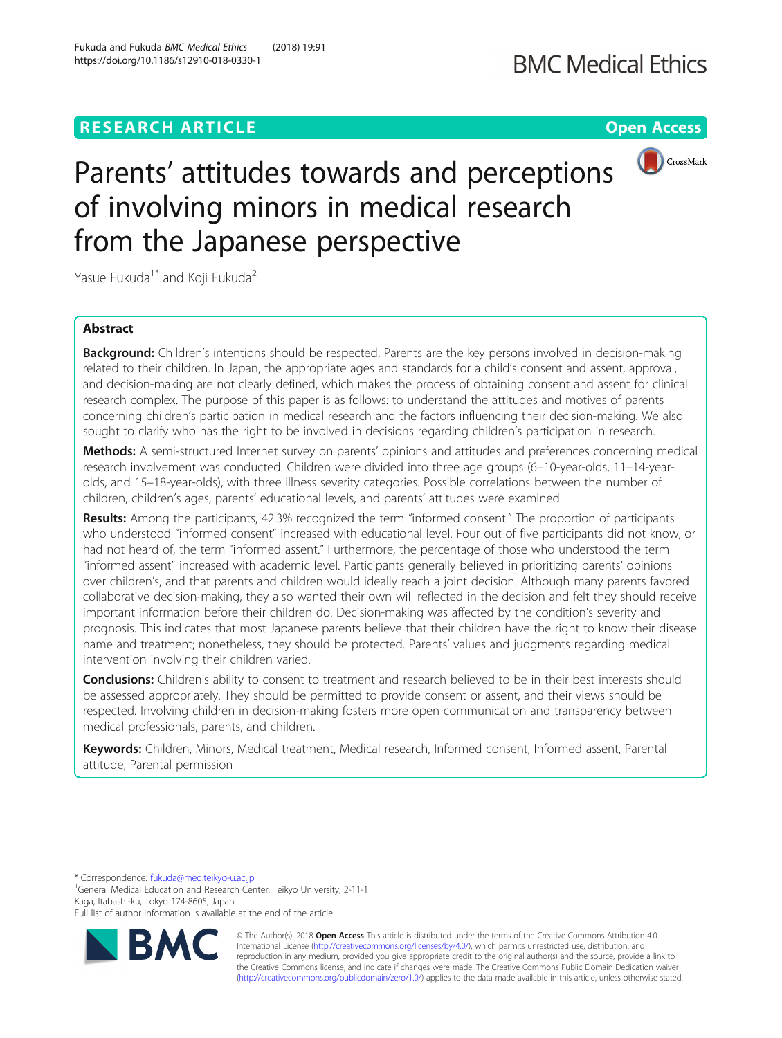# **RESEARCH ARTICLE Example 2018 12:30 THE Open Access**



# Parents' attitudes towards and perceptions of involving minors in medical research from the Japanese perspective

Yasue Fukuda<sup>1\*</sup> and Koji Fukuda<sup>2</sup>

# Abstract

Background: Children's intentions should be respected. Parents are the key persons involved in decision-making related to their children. In Japan, the appropriate ages and standards for a child's consent and assent, approval, and decision-making are not clearly defined, which makes the process of obtaining consent and assent for clinical research complex. The purpose of this paper is as follows: to understand the attitudes and motives of parents concerning children's participation in medical research and the factors influencing their decision-making. We also sought to clarify who has the right to be involved in decisions regarding children's participation in research.

Methods: A semi-structured Internet survey on parents' opinions and attitudes and preferences concerning medical research involvement was conducted. Children were divided into three age groups (6–10-year-olds, 11–14-yearolds, and 15–18-year-olds), with three illness severity categories. Possible correlations between the number of children, children's ages, parents' educational levels, and parents' attitudes were examined.

Results: Among the participants, 42.3% recognized the term "informed consent." The proportion of participants who understood "informed consent" increased with educational level. Four out of five participants did not know, or had not heard of, the term "informed assent." Furthermore, the percentage of those who understood the term "informed assent" increased with academic level. Participants generally believed in prioritizing parents' opinions over children's, and that parents and children would ideally reach a joint decision. Although many parents favored collaborative decision-making, they also wanted their own will reflected in the decision and felt they should receive important information before their children do. Decision-making was affected by the condition's severity and prognosis. This indicates that most Japanese parents believe that their children have the right to know their disease name and treatment; nonetheless, they should be protected. Parents' values and judgments regarding medical intervention involving their children varied.

Conclusions: Children's ability to consent to treatment and research believed to be in their best interests should be assessed appropriately. They should be permitted to provide consent or assent, and their views should be respected. Involving children in decision-making fosters more open communication and transparency between medical professionals, parents, and children.

Keywords: Children, Minors, Medical treatment, Medical research, Informed consent, Informed assent, Parental attitude, Parental permission

\* Correspondence: [fukuda@med.teikyo-u.ac.jp](mailto:fukuda@med.teikyo-u.ac.jp) <sup>1</sup>

<sup>1</sup>General Medical Education and Research Center, Teikyo University, 2-11-1 Kaga, Itabashi-ku, Tokyo 174-8605, Japan

Full list of author information is available at the end of the article



© The Author(s). 2018 Open Access This article is distributed under the terms of the Creative Commons Attribution 4.0 International License [\(http://creativecommons.org/licenses/by/4.0/](http://creativecommons.org/licenses/by/4.0/)), which permits unrestricted use, distribution, and reproduction in any medium, provided you give appropriate credit to the original author(s) and the source, provide a link to the Creative Commons license, and indicate if changes were made. The Creative Commons Public Domain Dedication waiver [\(http://creativecommons.org/publicdomain/zero/1.0/](http://creativecommons.org/publicdomain/zero/1.0/)) applies to the data made available in this article, unless otherwise stated.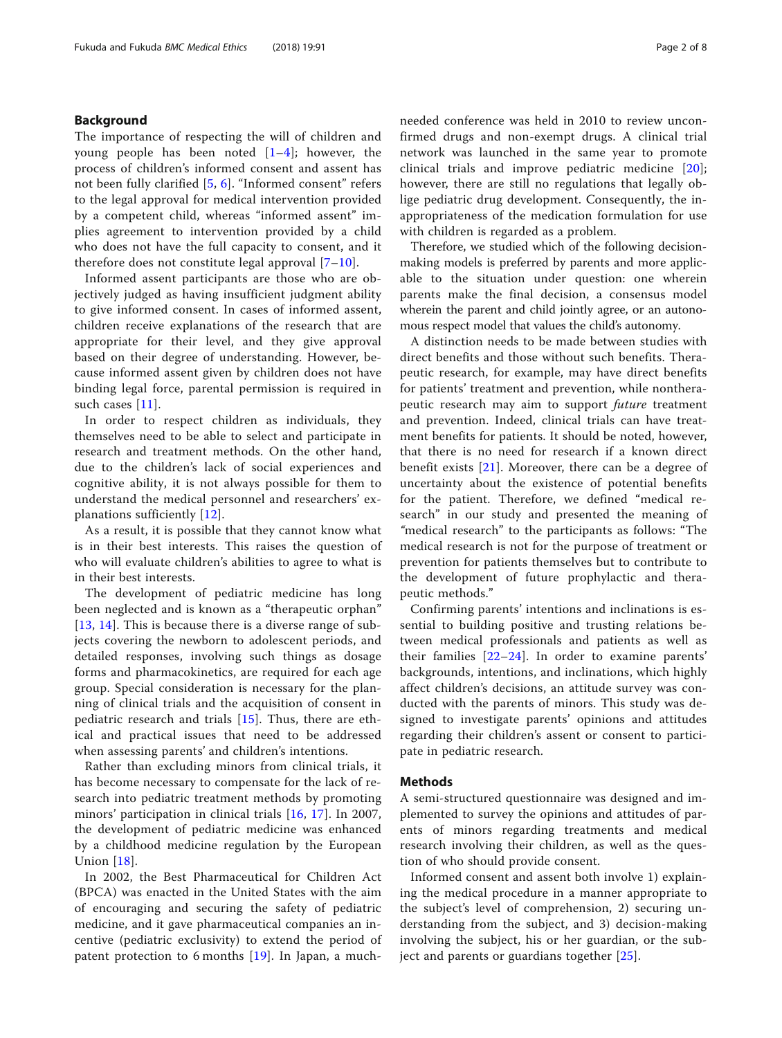# Background

The importance of respecting the will of children and young people has been noted  $[1-4]$  $[1-4]$  $[1-4]$  $[1-4]$  $[1-4]$ ; however, the process of children's informed consent and assent has not been fully clarified [[5,](#page-6-0) [6](#page-6-0)]. "Informed consent" refers to the legal approval for medical intervention provided by a competent child, whereas "informed assent" implies agreement to intervention provided by a child who does not have the full capacity to consent, and it therefore does not constitute legal approval  $[7-10]$  $[7-10]$  $[7-10]$  $[7-10]$  $[7-10]$ .

Informed assent participants are those who are objectively judged as having insufficient judgment ability to give informed consent. In cases of informed assent, children receive explanations of the research that are appropriate for their level, and they give approval based on their degree of understanding. However, because informed assent given by children does not have binding legal force, parental permission is required in such cases [[11](#page-6-0)].

In order to respect children as individuals, they themselves need to be able to select and participate in research and treatment methods. On the other hand, due to the children's lack of social experiences and cognitive ability, it is not always possible for them to understand the medical personnel and researchers' explanations sufficiently [[12\]](#page-6-0).

As a result, it is possible that they cannot know what is in their best interests. This raises the question of who will evaluate children's abilities to agree to what is in their best interests.

The development of pediatric medicine has long been neglected and is known as a "therapeutic orphan" [[13](#page-6-0), [14](#page-6-0)]. This is because there is a diverse range of subjects covering the newborn to adolescent periods, and detailed responses, involving such things as dosage forms and pharmacokinetics, are required for each age group. Special consideration is necessary for the planning of clinical trials and the acquisition of consent in pediatric research and trials [[15](#page-6-0)]. Thus, there are ethical and practical issues that need to be addressed when assessing parents' and children's intentions.

Rather than excluding minors from clinical trials, it has become necessary to compensate for the lack of research into pediatric treatment methods by promoting minors' participation in clinical trials [\[16](#page-6-0), [17](#page-7-0)]. In 2007, the development of pediatric medicine was enhanced by a childhood medicine regulation by the European Union [\[18](#page-7-0)].

In 2002, the Best Pharmaceutical for Children Act (BPCA) was enacted in the United States with the aim of encouraging and securing the safety of pediatric medicine, and it gave pharmaceutical companies an incentive (pediatric exclusivity) to extend the period of patent protection to 6 months [\[19](#page-7-0)]. In Japan, a much-

needed conference was held in 2010 to review unconfirmed drugs and non-exempt drugs. A clinical trial network was launched in the same year to promote clinical trials and improve pediatric medicine [[20](#page-7-0)]; however, there are still no regulations that legally oblige pediatric drug development. Consequently, the inappropriateness of the medication formulation for use with children is regarded as a problem.

Therefore, we studied which of the following decisionmaking models is preferred by parents and more applicable to the situation under question: one wherein parents make the final decision, a consensus model wherein the parent and child jointly agree, or an autonomous respect model that values the child's autonomy.

A distinction needs to be made between studies with direct benefits and those without such benefits. Therapeutic research, for example, may have direct benefits for patients' treatment and prevention, while nontherapeutic research may aim to support future treatment and prevention. Indeed, clinical trials can have treatment benefits for patients. It should be noted, however, that there is no need for research if a known direct benefit exists [[21\]](#page-7-0). Moreover, there can be a degree of uncertainty about the existence of potential benefits for the patient. Therefore, we defined "medical research" in our study and presented the meaning of "medical research" to the participants as follows: "The medical research is not for the purpose of treatment or prevention for patients themselves but to contribute to the development of future prophylactic and therapeutic methods."

Confirming parents' intentions and inclinations is essential to building positive and trusting relations between medical professionals and patients as well as their families [[22](#page-7-0)–[24](#page-7-0)]. In order to examine parents' backgrounds, intentions, and inclinations, which highly affect children's decisions, an attitude survey was conducted with the parents of minors. This study was designed to investigate parents' opinions and attitudes regarding their children's assent or consent to participate in pediatric research.

### Methods

A semi-structured questionnaire was designed and implemented to survey the opinions and attitudes of parents of minors regarding treatments and medical research involving their children, as well as the question of who should provide consent.

Informed consent and assent both involve 1) explaining the medical procedure in a manner appropriate to the subject's level of comprehension, 2) securing understanding from the subject, and 3) decision-making involving the subject, his or her guardian, or the subject and parents or guardians together [[25\]](#page-7-0).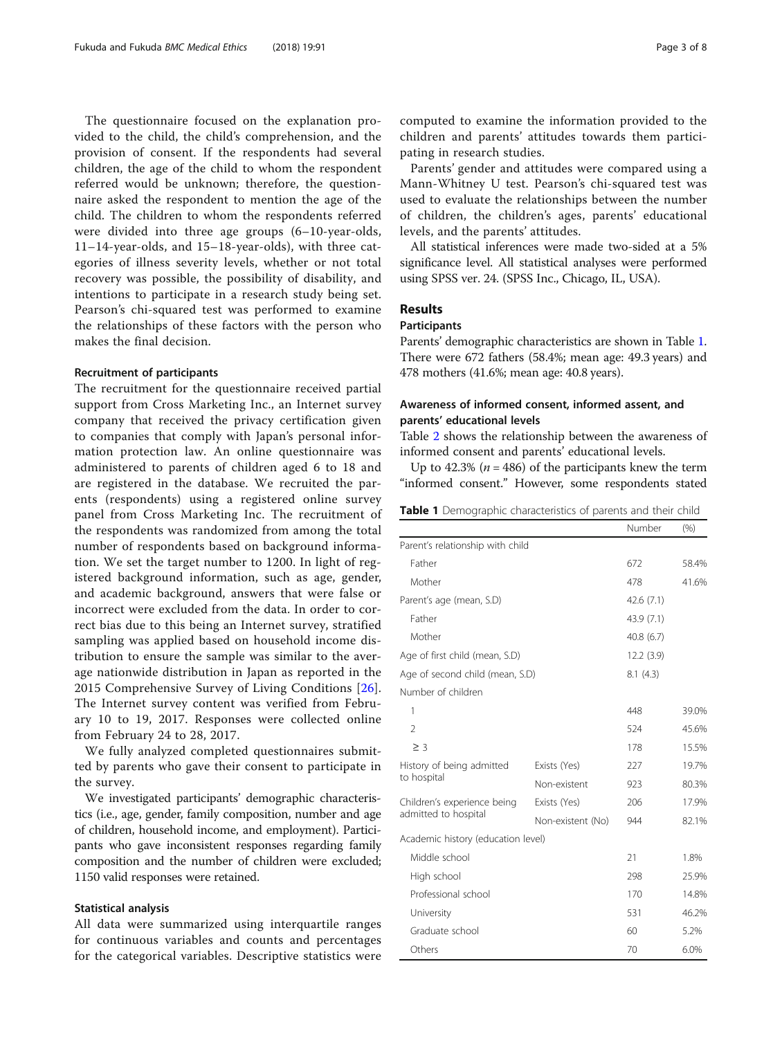The questionnaire focused on the explanation provided to the child, the child's comprehension, and the provision of consent. If the respondents had several children, the age of the child to whom the respondent referred would be unknown; therefore, the questionnaire asked the respondent to mention the age of the child. The children to whom the respondents referred were divided into three age groups (6–10-year-olds, 11–14-year-olds, and 15–18-year-olds), with three categories of illness severity levels, whether or not total recovery was possible, the possibility of disability, and intentions to participate in a research study being set. Pearson's chi-squared test was performed to examine the relationships of these factors with the person who makes the final decision.

#### Recruitment of participants

The recruitment for the questionnaire received partial support from Cross Marketing Inc., an Internet survey company that received the privacy certification given to companies that comply with Japan's personal information protection law. An online questionnaire was administered to parents of children aged 6 to 18 and are registered in the database. We recruited the parents (respondents) using a registered online survey panel from Cross Marketing Inc. The recruitment of the respondents was randomized from among the total number of respondents based on background information. We set the target number to 1200. In light of registered background information, such as age, gender, and academic background, answers that were false or incorrect were excluded from the data. In order to correct bias due to this being an Internet survey, stratified sampling was applied based on household income distribution to ensure the sample was similar to the average nationwide distribution in Japan as reported in the 2015 Comprehensive Survey of Living Conditions [[26](#page-7-0)]. The Internet survey content was verified from February 10 to 19, 2017. Responses were collected online from February 24 to 28, 2017.

We fully analyzed completed questionnaires submitted by parents who gave their consent to participate in the survey.

We investigated participants' demographic characteristics (i.e., age, gender, family composition, number and age of children, household income, and employment). Participants who gave inconsistent responses regarding family composition and the number of children were excluded; 1150 valid responses were retained.

#### Statistical analysis

All data were summarized using interquartile ranges for continuous variables and counts and percentages for the categorical variables. Descriptive statistics were computed to examine the information provided to the children and parents' attitudes towards them participating in research studies.

Parents' gender and attitudes were compared using a Mann-Whitney U test. Pearson's chi-squared test was used to evaluate the relationships between the number of children, the children's ages, parents' educational levels, and the parents' attitudes.

All statistical inferences were made two-sided at a 5% significance level. All statistical analyses were performed using SPSS ver. 24. (SPSS Inc., Chicago, IL, USA).

# Results

# **Participants**

Parents' demographic characteristics are shown in Table 1. There were 672 fathers (58.4%; mean age: 49.3 years) and 478 mothers (41.6%; mean age: 40.8 years).

# Awareness of informed consent, informed assent, and parents' educational levels

Table [2](#page-3-0) shows the relationship between the awareness of informed consent and parents' educational levels.

Up to 42.3% ( $n = 486$ ) of the participants knew the term "informed consent." However, some respondents stated

| Table 1 Demographic characteristics of parents and their child |  |  |  |  |
|----------------------------------------------------------------|--|--|--|--|
|----------------------------------------------------------------|--|--|--|--|

|                                                     |                   | Number     | (% )  |
|-----------------------------------------------------|-------------------|------------|-------|
| Parent's relationship with child                    |                   |            |       |
| Father                                              |                   | 672        | 58.4% |
| Mother                                              |                   | 478        | 41.6% |
| Parent's age (mean, S.D)                            | 42.6(7.1)         |            |       |
| Father                                              |                   | 43.9 (7.1) |       |
| Mother                                              | 40.8(6.7)         |            |       |
| Age of first child (mean, S.D)                      | 12.2(3.9)         |            |       |
| Age of second child (mean, S.D)                     |                   | 8.1(4.3)   |       |
| Number of children                                  |                   |            |       |
| 1                                                   |                   | 448        | 39.0% |
| $\overline{2}$                                      |                   | 524        | 45.6% |
| $\geq$ 3                                            |                   | 178        | 15.5% |
| History of being admitted<br>to hospital            | Exists (Yes)      | 227        | 19.7% |
|                                                     | Non-existent      | 923        | 80.3% |
| Children's experience being<br>admitted to hospital | Exists (Yes)      | 206        | 17.9% |
|                                                     | Non-existent (No) | 944        | 82.1% |
| Academic history (education level)                  |                   |            |       |
| Middle school                                       |                   | 21         | 1.8%  |
| High school                                         |                   | 298        | 25.9% |
| Professional school                                 |                   | 170        | 14.8% |
| University                                          |                   | 531        | 46.2% |
| Graduate school                                     | 60                | 5.2%       |       |
| Others                                              |                   | 70         | 6.0%  |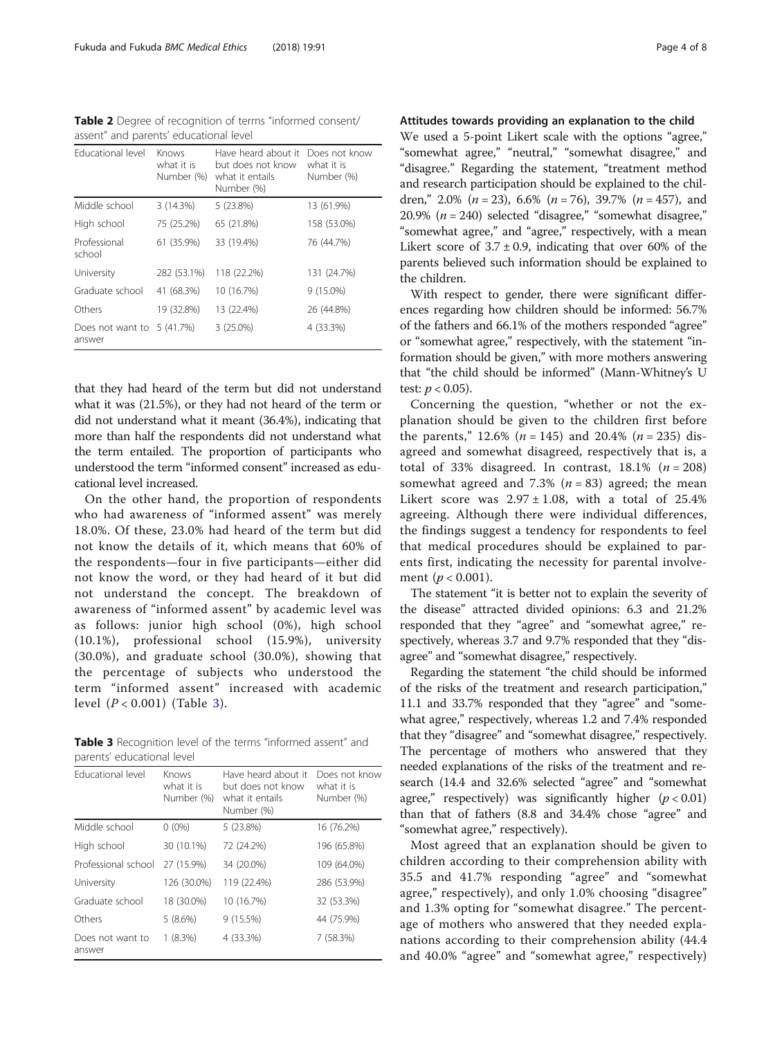<span id="page-3-0"></span>Table 2 Degree of recognition of terms "informed consent/ assent" and parents' educational level

| Educational level          | Knows<br>what it is<br>Number (%) | Have heard about it<br>but does not know<br>what it entails<br>Number (%) | Does not know<br>what it is<br>Number (%) |
|----------------------------|-----------------------------------|---------------------------------------------------------------------------|-------------------------------------------|
| Middle school              | 3(14.3%)                          | 5(23.8%)                                                                  | 13 (61.9%)                                |
| High school                | 75 (25.2%)                        | 65 (21.8%)                                                                | 158 (53.0%)                               |
| Professional<br>school     | 61 (35.9%)                        | 33 (19.4%)                                                                | 76 (44.7%)                                |
| University                 | 282 (53.1%)                       | 118 (22.2%)                                                               | 131 (24.7%)                               |
| Graduate school            | 41 (68.3%)                        | 10 (16.7%)                                                                | $9(15.0\%)$                               |
| Others                     | 19 (32.8%)                        | 13 (22.4%)                                                                | 26 (44.8%)                                |
| Does not want to<br>answer | 5 (41.7%)                         | $3(25.0\%)$                                                               | 4 (33.3%)                                 |

that they had heard of the term but did not understand what it was (21.5%), or they had not heard of the term or did not understand what it meant (36.4%), indicating that more than half the respondents did not understand what the term entailed. The proportion of participants who understood the term "informed consent" increased as educational level increased.

On the other hand, the proportion of respondents who had awareness of "informed assent" was merely 18.0%. Of these, 23.0% had heard of the term but did not know the details of it, which means that 60% of the respondents—four in five participants—either did not know the word, or they had heard of it but did not understand the concept. The breakdown of awareness of "informed assent" by academic level was as follows: junior high school (0%), high school (10.1%), professional school (15.9%), university (30.0%), and graduate school (30.0%), showing that the percentage of subjects who understood the term "informed assent" increased with academic level  $(P < 0.001)$  (Table 3).

Table 3 Recognition level of the terms "informed assent" and parents' educational level

| <b>Educational level</b>   | Knows<br>what it is<br>Number (%) | Have heard about it<br>but does not know<br>what it entails<br>Number (%) | Does not know<br>what it is<br>Number (%) |
|----------------------------|-----------------------------------|---------------------------------------------------------------------------|-------------------------------------------|
| Middle school              | $0(0\%)$                          | 5(23.8%)                                                                  | 16 (76.2%)                                |
| High school                | 30 (10.1%)                        | 72 (24.2%)                                                                | 196 (65.8%)                               |
| Professional school        | 27 (15.9%)                        | 34 (20.0%)                                                                | 109 (64.0%)                               |
| University                 | 126 (30.0%)                       | 119 (22.4%)                                                               | 286 (53.9%)                               |
| Graduate school            | 18 (30.0%)                        | 10 (16.7%)                                                                | 32 (53.3%)                                |
| Others                     | 5(8.6%)                           | 9(15.5%)                                                                  | 44 (75.9%)                                |
| Does not want to<br>answer | $1(8.3\%)$                        | 4 (33.3%)                                                                 | 7 (58.3%)                                 |

Attitudes towards providing an explanation to the child We used a 5-point Likert scale with the options "agree," "somewhat agree," "neutral," "somewhat disagree," and "disagree." Regarding the statement, "treatment method and research participation should be explained to the children," 2.0% ( $n = 23$ ), 6.6% ( $n = 76$ ), 39.7% ( $n = 457$ ), and 20.9%  $(n = 240)$  selected "disagree," "somewhat disagree," "somewhat agree," and "agree," respectively, with a mean Likert score of  $3.7 \pm 0.9$ , indicating that over 60% of the parents believed such information should be explained to the children.

With respect to gender, there were significant differences regarding how children should be informed: 56.7% of the fathers and 66.1% of the mothers responded "agree" or "somewhat agree," respectively, with the statement "information should be given," with more mothers answering that "the child should be informed" (Mann-Whitney's U test:  $p < 0.05$ ).

Concerning the question, "whether or not the explanation should be given to the children first before the parents," 12.6% ( $n = 145$ ) and 20.4% ( $n = 235$ ) disagreed and somewhat disagreed, respectively that is, a total of 33% disagreed. In contrast,  $18.1\%$  ( $n = 208$ ) somewhat agreed and 7.3% ( $n = 83$ ) agreed; the mean Likert score was  $2.97 \pm 1.08$ , with a total of 25.4% agreeing. Although there were individual differences, the findings suggest a tendency for respondents to feel that medical procedures should be explained to parents first, indicating the necessity for parental involvement ( $p < 0.001$ ).

The statement "it is better not to explain the severity of the disease" attracted divided opinions: 6.3 and 21.2% responded that they "agree" and "somewhat agree," respectively, whereas 3.7 and 9.7% responded that they "disagree" and "somewhat disagree," respectively.

Regarding the statement "the child should be informed of the risks of the treatment and research participation," 11.1 and 33.7% responded that they "agree" and "somewhat agree," respectively, whereas 1.2 and 7.4% responded that they "disagree" and "somewhat disagree," respectively. The percentage of mothers who answered that they needed explanations of the risks of the treatment and research (14.4 and 32.6% selected "agree" and "somewhat agree," respectively) was significantly higher  $(p < 0.01)$ than that of fathers (8.8 and 34.4% chose "agree" and "somewhat agree," respectively).

Most agreed that an explanation should be given to children according to their comprehension ability with 35.5 and 41.7% responding "agree" and "somewhat agree," respectively), and only 1.0% choosing "disagree" and 1.3% opting for "somewhat disagree." The percentage of mothers who answered that they needed explanations according to their comprehension ability (44.4 and 40.0% "agree" and "somewhat agree," respectively)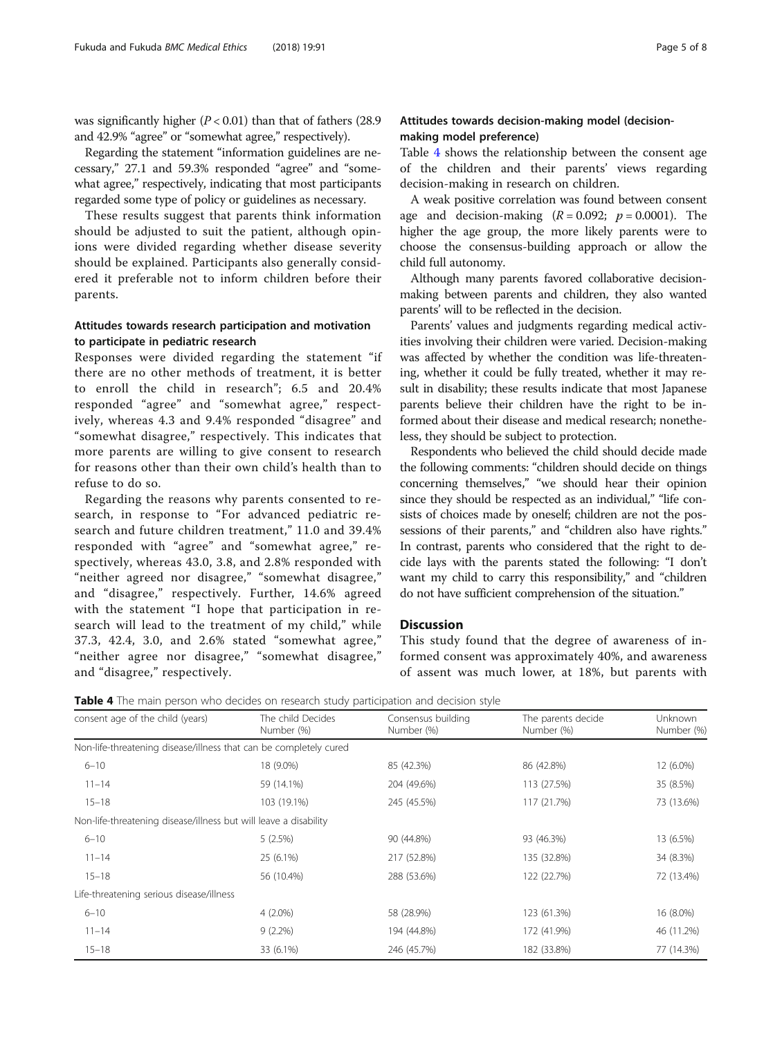was significantly higher  $(P < 0.01)$  than that of fathers (28.9) and 42.9% "agree" or "somewhat agree," respectively).

Regarding the statement "information guidelines are necessary," 27.1 and 59.3% responded "agree" and "somewhat agree," respectively, indicating that most participants regarded some type of policy or guidelines as necessary.

These results suggest that parents think information should be adjusted to suit the patient, although opinions were divided regarding whether disease severity should be explained. Participants also generally considered it preferable not to inform children before their parents.

# Attitudes towards research participation and motivation to participate in pediatric research

Responses were divided regarding the statement "if there are no other methods of treatment, it is better to enroll the child in research"; 6.5 and 20.4% responded "agree" and "somewhat agree," respectively, whereas 4.3 and 9.4% responded "disagree" and "somewhat disagree," respectively. This indicates that more parents are willing to give consent to research for reasons other than their own child's health than to refuse to do so.

Regarding the reasons why parents consented to research, in response to "For advanced pediatric research and future children treatment," 11.0 and 39.4% responded with "agree" and "somewhat agree," respectively, whereas 43.0, 3.8, and 2.8% responded with "neither agreed nor disagree," "somewhat disagree," and "disagree," respectively. Further, 14.6% agreed with the statement "I hope that participation in research will lead to the treatment of my child," while 37.3, 42.4, 3.0, and 2.6% stated "somewhat agree," "neither agree nor disagree," "somewhat disagree," and "disagree," respectively.

# Attitudes towards decision-making model (decisionmaking model preference)

Table 4 shows the relationship between the consent age of the children and their parents' views regarding decision-making in research on children.

A weak positive correlation was found between consent age and decision-making  $(R = 0.092; p = 0.0001)$ . The higher the age group, the more likely parents were to choose the consensus-building approach or allow the child full autonomy.

Although many parents favored collaborative decisionmaking between parents and children, they also wanted parents' will to be reflected in the decision.

Parents' values and judgments regarding medical activities involving their children were varied. Decision-making was affected by whether the condition was life-threatening, whether it could be fully treated, whether it may result in disability; these results indicate that most Japanese parents believe their children have the right to be informed about their disease and medical research; nonetheless, they should be subject to protection.

Respondents who believed the child should decide made the following comments: "children should decide on things concerning themselves," "we should hear their opinion since they should be respected as an individual," "life consists of choices made by oneself; children are not the possessions of their parents," and "children also have rights." In contrast, parents who considered that the right to decide lays with the parents stated the following: "I don't want my child to carry this responsibility," and "children do not have sufficient comprehension of the situation."

# **Discussion**

This study found that the degree of awareness of informed consent was approximately 40%, and awareness of assent was much lower, at 18%, but parents with

Table 4 The main person who decides on research study participation and decision style

| consent age of the child (years)                                  | The child Decides<br>Number (%) | Consensus building<br>Number (%) | The parents decide<br>Number (%) | Unknown<br>Number (%) |
|-------------------------------------------------------------------|---------------------------------|----------------------------------|----------------------------------|-----------------------|
| Non-life-threatening disease/illness that can be completely cured |                                 |                                  |                                  |                       |
| $6 - 10$                                                          | 18 (9.0%)                       | 85 (42.3%)                       | 86 (42.8%)                       | 12 (6.0%)             |
| $11 - 14$                                                         | 59 (14.1%)                      | 204 (49.6%)                      | 113 (27.5%)                      | 35 (8.5%)             |
| $15 - 18$                                                         | 103 (19.1%)                     | 245 (45.5%)                      | 117 (21.7%)                      | 73 (13.6%)            |
| Non-life-threatening disease/illness but will leave a disability  |                                 |                                  |                                  |                       |
| $6 - 10$                                                          | 5(2.5%)                         | 90 (44.8%)                       | 93 (46.3%)                       | 13 (6.5%)             |
| $11 - 14$                                                         | 25 (6.1%)                       | 217 (52.8%)                      | 135 (32.8%)                      | 34 (8.3%)             |
| $15 - 18$                                                         | 56 (10.4%)                      | 288 (53.6%)                      | 122 (22.7%)                      | 72 (13.4%)            |
| Life-threatening serious disease/illness                          |                                 |                                  |                                  |                       |
| $6 - 10$                                                          | $4(2.0\%)$                      | 58 (28.9%)                       | 123 (61.3%)                      | 16 (8.0%)             |
| $11 - 14$                                                         | $9(2.2\%)$                      | 194 (44.8%)                      | 172 (41.9%)                      | 46 (11.2%)            |
| $15 - 18$                                                         | 33 (6.1%)                       | 246 (45.7%)                      | 182 (33.8%)                      | 77 (14.3%)            |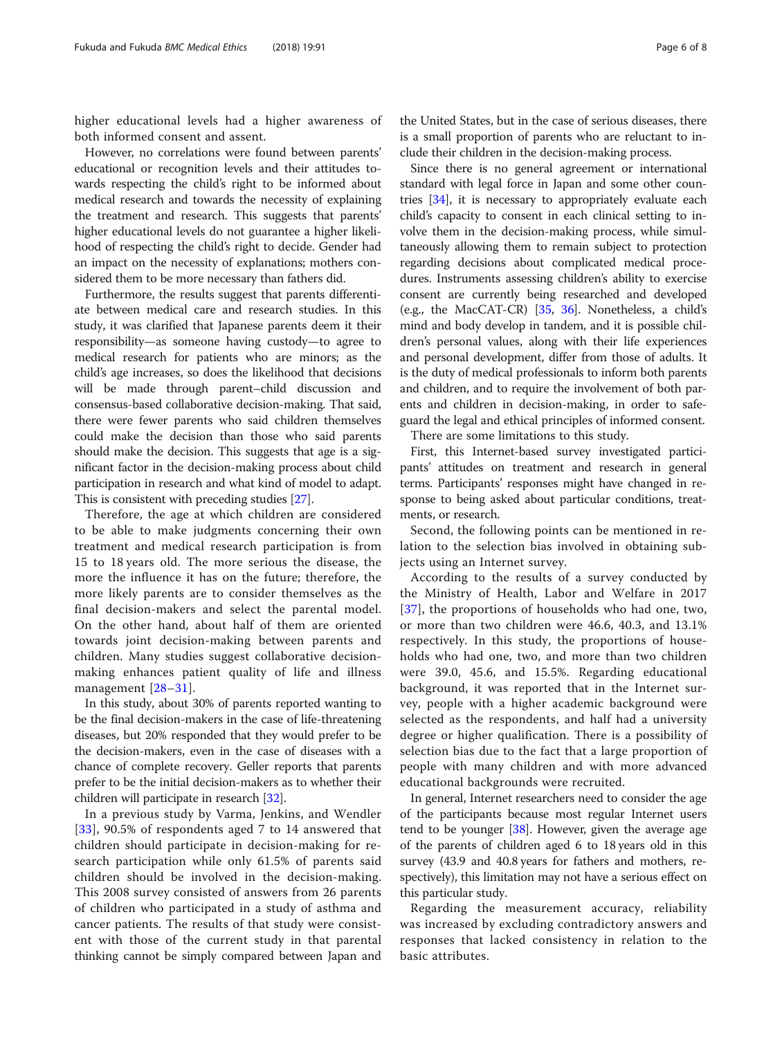higher educational levels had a higher awareness of both informed consent and assent.

However, no correlations were found between parents' educational or recognition levels and their attitudes towards respecting the child's right to be informed about medical research and towards the necessity of explaining the treatment and research. This suggests that parents' higher educational levels do not guarantee a higher likelihood of respecting the child's right to decide. Gender had an impact on the necessity of explanations; mothers considered them to be more necessary than fathers did.

Furthermore, the results suggest that parents differentiate between medical care and research studies. In this study, it was clarified that Japanese parents deem it their responsibility—as someone having custody—to agree to medical research for patients who are minors; as the child's age increases, so does the likelihood that decisions will be made through parent–child discussion and consensus-based collaborative decision-making. That said, there were fewer parents who said children themselves could make the decision than those who said parents should make the decision. This suggests that age is a significant factor in the decision-making process about child participation in research and what kind of model to adapt. This is consistent with preceding studies [\[27\]](#page-7-0).

Therefore, the age at which children are considered to be able to make judgments concerning their own treatment and medical research participation is from 15 to 18 years old. The more serious the disease, the more the influence it has on the future; therefore, the more likely parents are to consider themselves as the final decision-makers and select the parental model. On the other hand, about half of them are oriented towards joint decision-making between parents and children. Many studies suggest collaborative decisionmaking enhances patient quality of life and illness management [[28](#page-7-0)–[31](#page-7-0)].

In this study, about 30% of parents reported wanting to be the final decision-makers in the case of life-threatening diseases, but 20% responded that they would prefer to be the decision-makers, even in the case of diseases with a chance of complete recovery. Geller reports that parents prefer to be the initial decision-makers as to whether their children will participate in research [\[32\]](#page-7-0).

In a previous study by Varma, Jenkins, and Wendler [[33](#page-7-0)], 90.5% of respondents aged 7 to 14 answered that children should participate in decision-making for research participation while only 61.5% of parents said children should be involved in the decision-making. This 2008 survey consisted of answers from 26 parents of children who participated in a study of asthma and cancer patients. The results of that study were consistent with those of the current study in that parental thinking cannot be simply compared between Japan and

the United States, but in the case of serious diseases, there is a small proportion of parents who are reluctant to include their children in the decision-making process.

Since there is no general agreement or international standard with legal force in Japan and some other countries [[34](#page-7-0)], it is necessary to appropriately evaluate each child's capacity to consent in each clinical setting to involve them in the decision-making process, while simultaneously allowing them to remain subject to protection regarding decisions about complicated medical procedures. Instruments assessing children's ability to exercise consent are currently being researched and developed (e.g., the MacCAT-CR) [\[35](#page-7-0), [36](#page-7-0)]. Nonetheless, a child's mind and body develop in tandem, and it is possible children's personal values, along with their life experiences and personal development, differ from those of adults. It is the duty of medical professionals to inform both parents and children, and to require the involvement of both parents and children in decision-making, in order to safeguard the legal and ethical principles of informed consent.

There are some limitations to this study.

First, this Internet-based survey investigated participants' attitudes on treatment and research in general terms. Participants' responses might have changed in response to being asked about particular conditions, treatments, or research.

Second, the following points can be mentioned in relation to the selection bias involved in obtaining subjects using an Internet survey.

According to the results of a survey conducted by the Ministry of Health, Labor and Welfare in 2017 [[37](#page-7-0)], the proportions of households who had one, two, or more than two children were 46.6, 40.3, and 13.1% respectively. In this study, the proportions of households who had one, two, and more than two children were 39.0, 45.6, and 15.5%. Regarding educational background, it was reported that in the Internet survey, people with a higher academic background were selected as the respondents, and half had a university degree or higher qualification. There is a possibility of selection bias due to the fact that a large proportion of people with many children and with more advanced educational backgrounds were recruited.

In general, Internet researchers need to consider the age of the participants because most regular Internet users tend to be younger [[38](#page-7-0)]. However, given the average age of the parents of children aged 6 to 18 years old in this survey (43.9 and 40.8 years for fathers and mothers, respectively), this limitation may not have a serious effect on this particular study.

Regarding the measurement accuracy, reliability was increased by excluding contradictory answers and responses that lacked consistency in relation to the basic attributes.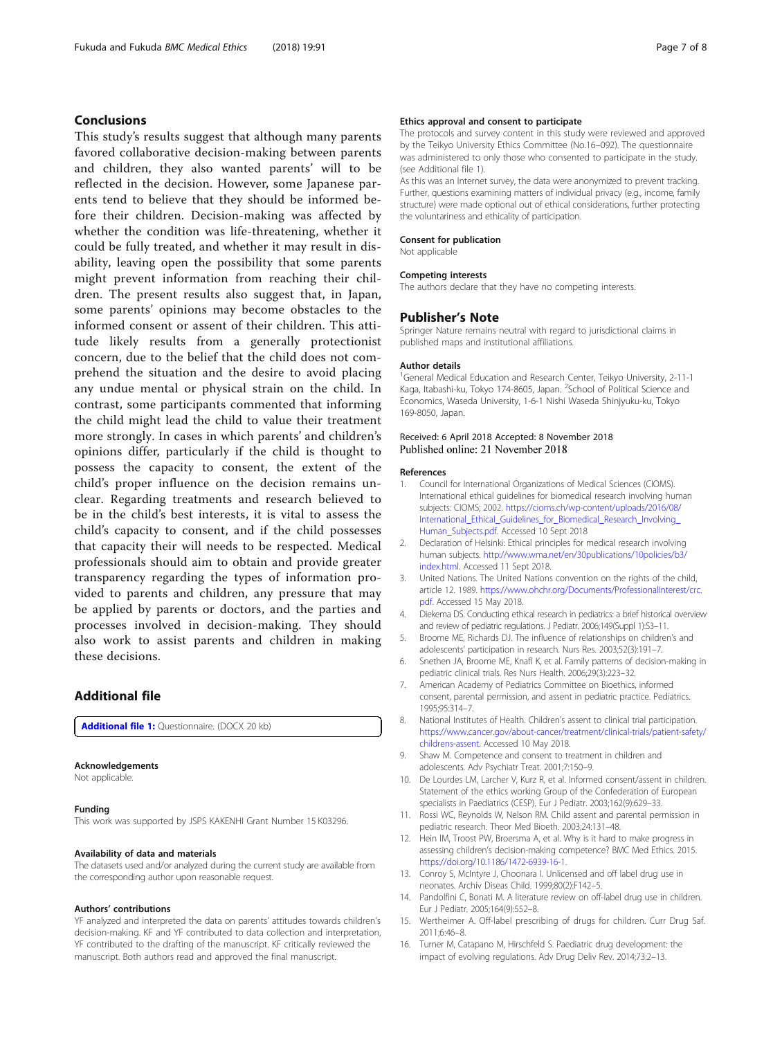# <span id="page-6-0"></span>Conclusions

This study's results suggest that although many parents favored collaborative decision-making between parents and children, they also wanted parents' will to be reflected in the decision. However, some Japanese parents tend to believe that they should be informed before their children. Decision-making was affected by whether the condition was life-threatening, whether it could be fully treated, and whether it may result in disability, leaving open the possibility that some parents might prevent information from reaching their children. The present results also suggest that, in Japan, some parents' opinions may become obstacles to the informed consent or assent of their children. This attitude likely results from a generally protectionist concern, due to the belief that the child does not comprehend the situation and the desire to avoid placing any undue mental or physical strain on the child. In contrast, some participants commented that informing the child might lead the child to value their treatment more strongly. In cases in which parents' and children's opinions differ, particularly if the child is thought to possess the capacity to consent, the extent of the child's proper influence on the decision remains unclear. Regarding treatments and research believed to be in the child's best interests, it is vital to assess the child's capacity to consent, and if the child possesses that capacity their will needs to be respected. Medical professionals should aim to obtain and provide greater transparency regarding the types of information provided to parents and children, any pressure that may be applied by parents or doctors, and the parties and processes involved in decision-making. They should also work to assist parents and children in making these decisions.

# Additional file

[Additional file 1:](https://doi.org/10.1186/s12910-018-0330-1) Questionnaire. (DOCX 20 kb)

#### Acknowledgements

Not applicable.

#### Funding

This work was supported by JSPS KAKENHI Grant Number 15 K03296.

#### Availability of data and materials

The datasets used and/or analyzed during the current study are available from the corresponding author upon reasonable request.

#### Authors' contributions

YF analyzed and interpreted the data on parents' attitudes towards children's decision-making. KF and YF contributed to data collection and interpretation, YF contributed to the drafting of the manuscript. KF critically reviewed the manuscript. Both authors read and approved the final manuscript.

#### Ethics approval and consent to participate

The protocols and survey content in this study were reviewed and approved by the Teikyo University Ethics Committee (No.16–092). The questionnaire was administered to only those who consented to participate in the study. (see Additional file 1).

As this was an Internet survey, the data were anonymized to prevent tracking. Further, questions examining matters of individual privacy (e.g., income, family structure) were made optional out of ethical considerations, further protecting the voluntariness and ethicality of participation.

#### Consent for publication

Not applicable

#### Competing interests

The authors declare that they have no competing interests.

#### Publisher's Note

Springer Nature remains neutral with regard to jurisdictional claims in published maps and institutional affiliations.

#### Author details

<sup>1</sup>General Medical Education and Research Center, Teikyo University, 2-11-1 Kaga, Itabashi-ku, Tokyo 174-8605, Japan. <sup>2</sup>School of Political Science and Economics, Waseda University, 1-6-1 Nishi Waseda Shinjyuku-ku, Tokyo 169-8050, Japan.

#### Received: 6 April 2018 Accepted: 8 November 2018 Published online: 21 November 2018

#### References

- Council for International Organizations of Medical Sciences (CIOMS). International ethical guidelines for biomedical research involving human subjects: CIOMS; 2002. [https://cioms.ch/wp-content/uploads/2016/08/](https://cioms.ch/wp-content/uploads/2016/08/International_Ethical_Guidelines_for_Biomedical_Research_Involving_Human_Subjects.pdf) International Ethical Guidelines for Biomedical Research Involving [Human\\_Subjects.pdf.](https://cioms.ch/wp-content/uploads/2016/08/International_Ethical_Guidelines_for_Biomedical_Research_Involving_Human_Subjects.pdf) Accessed 10 Sept 2018
- 2. Declaration of Helsinki: Ethical principles for medical research involving human subjects. [http://www.wma.net/en/30publications/10policies/b3/](http://www.wma.net/en/30publications/10policies/b3/index.html) [index.html.](http://www.wma.net/en/30publications/10policies/b3/index.html) Accessed 11 Sept 2018.
- 3. United Nations. The United Nations convention on the rights of the child, article 12. 1989. [https://www.ohchr.org/Documents/ProfessionalInterest/crc.](https://www.ohchr.org/Documents/ProfessionalInterest/crc.pdf) [pdf](https://www.ohchr.org/Documents/ProfessionalInterest/crc.pdf). Accessed 15 May 2018.
- 4. Diekema DS. Conducting ethical research in pediatrics: a brief historical overview and review of pediatric regulations. J Pediatr. 2006;149(Suppl 1):S3–11.
- 5. Broome ME, Richards DJ. The influence of relationships on children's and adolescents' participation in research. Nurs Res. 2003;52(3):191–7.
- 6. Snethen JA, Broome ME, Knafl K, et al. Family patterns of decision-making in pediatric clinical trials. Res Nurs Health. 2006;29(3):223–32.
- 7. American Academy of Pediatrics Committee on Bioethics, informed consent, parental permission, and assent in pediatric practice. Pediatrics. 1995;95:314–7.
- 8. National Institutes of Health. Children's assent to clinical trial participation. [https://www.cancer.gov/about-cancer/treatment/clinical-trials/patient-safety/](https://www.cancer.gov/about-cancer/treatment/clinical-trials/patient-safety/childrens-assent) [childrens-assent](https://www.cancer.gov/about-cancer/treatment/clinical-trials/patient-safety/childrens-assent). Accessed 10 May 2018.
- 9. Shaw M. Competence and consent to treatment in children and adolescents. Adv Psychiatr Treat. 2001;7:150–9.
- 10. De Lourdes LM, Larcher V, Kurz R, et al. Informed consent/assent in children. Statement of the ethics working Group of the Confederation of European specialists in Paediatrics (CESP). Eur J Pediatr. 2003;162(9):629–33.
- 11. Rossi WC, Reynolds W, Nelson RM. Child assent and parental permission in pediatric research. Theor Med Bioeth. 2003;24:131–48.
- 12. Hein IM, Troost PW, Broersma A, et al. Why is it hard to make progress in assessing children's decision-making competence? BMC Med Ethics. 2015. [https://doi.org/10.1186/1472-6939-16-1.](https://doi.org/10.1186/1472-6939-16-1)
- 13. Conroy S, McIntyre J, Choonara I. Unlicensed and off label drug use in neonates. Archiv Diseas Child. 1999;80(2):F142–5.
- 14. Pandolfini C, Bonati M. A literature review on off-label drug use in children. Eur J Pediatr. 2005;164(9):552–8.
- 15. Wertheimer A. Off-label prescribing of drugs for children. Curr Drug Saf. 2011;6:46–8.
- 16. Turner M, Catapano M, Hirschfeld S. Paediatric drug development: the impact of evolving regulations. Adv Drug Deliv Rev. 2014;73:2–13.